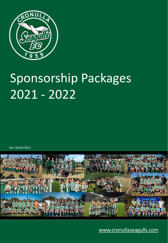

# Sponsorship Packages 2021 - 2022

Rev 30/03/2021



[www.cronullaseagulls.com](http://www.cronullaseagulls.com/)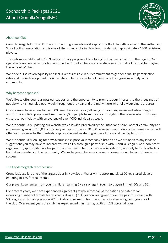

## About our Club

Cronulla Seagulls Football Club is a successful grassroots not-for-profit football club affiliated with the Sutherland Shire Football Association and is one of the largest clubs in New South Wales with approximately 1600 registered players.

The club was established in 1959 with a primary purpose of facilitating football participation in the region. Our operations are centred at our home ground in Cronulla where we operate several formats of football for players throughout Winter.

We pride ourselves on equality and inclusiveness, visible in our commitment to gender equality, participation rates and the redevelopment of our facilities to better cater for all members of our growing and dynamic community.

## Why become a sponsor?

We'd like to offer your business our support and the opportunity to promote your interests to the thousands of people who visit our club each week throughout the year and the many more who follow our club's progress.

Our sponsors have access to over 6000 members each year, allowing for brand exposure and advertising to approximately 1600 players and well over 75,000 people from the area throughout the season when including visitors to our fields – with an average of over 4000 individuals a week.

We are continually updating our websitewhich is widely received by the Sutherland Shire Football community and is consuming around 250,000 visits per year, approximately 20,000 views per month during the season, which will offer your business further fantastic exposure as well as sharing across all our social mediaplatforms.

We are continually looking for new avenues to expose your company's brand and we are open to any ideas or suggestions you may have to increase your visibility through a partnership with Cronulla Seagulls. As a non-profit organisation, sponsorship is a big part of our income to help us develop our kids into, not only better footballers but better members of the community. We invite you to become a valued sponsor of our club and share in our success.

## The key demographics of theclub?

Cronulla Seagulls is one of the largest clubs in New South Wales with approximately 1600 registered players equating to 125 football teams.

Our player base ranges from young children turning 5 years of age through to players in their 50s and 60s.

Over recent years, we have experienced significant growth in football participation and cater for an increasing number of female teams across all ages. (25% year on year growth over the past four years, with 500 registered female players in 2019.) Girls and women's teams are the fastest growing demographic of the club. Over recent years the club has experienced significant growth of 12% across all ages.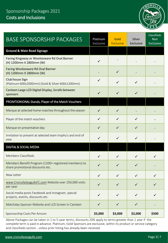# Sponsorship Packages 2021 Costs and Inclusions



| <b>BASE SPONSORSHIP PACKAGES</b>                                                          | Platinum<br>Exclusive | Gold<br><b>Exclusive</b> | Silver<br>Exclusive | Classifieds<br><b>Non</b><br><b>Exclusive</b> |
|-------------------------------------------------------------------------------------------|-----------------------|--------------------------|---------------------|-----------------------------------------------|
| <b>Ground &amp; Main Road Signage</b>                                                     |                       |                          |                     |                                               |
| Facing Kingsway or Woolooware Rd Oval Banner<br>(H) 1200mm X 2800mm (W)                   | ✓                     |                          |                     |                                               |
| Facing Woolooware Rd Oval Banner<br>(H) 1200mm X 2800mm (W)                               |                       | $\checkmark$             |                     |                                               |
| Club house Sign<br>(Platinum 600x2000mm) (Gold & Silver 600x1200mm)                       | ✓                     | $\checkmark$             | ✓                   |                                               |
| Canteen Large LCD Digital Display, Scrolls between<br>sponsors                            | $\checkmark$          | $\checkmark$             | $\checkmark$        |                                               |
| PROMTIONIONAL Stands, Player of the Match Vouchers                                        |                       |                          |                     |                                               |
| Marque at selected home matches throughout the season                                     | $\checkmark$          | $\checkmark$             |                     |                                               |
| Player of the match vouchers                                                              | $\checkmark$          | $\checkmark$             | ✓                   |                                               |
| Marque on presentation day                                                                | $\checkmark$          | $\checkmark$             | $\checkmark$        |                                               |
| Invitation to present at selected team trophy's and end of<br>year                        | $\checkmark$          | ✓                        | ✓                   |                                               |
| <b>DIGITAL &amp; SOCIAL MEDIA</b>                                                         |                       |                          |                     |                                               |
| <b>Members Classifieds</b>                                                                | $\checkmark$          | $\checkmark$             | $\checkmark$        | ✓                                             |
| Members Benefit Program (1200+ registered members) to<br>share promotional discounts etc. | $\checkmark$          | $\checkmark$             | ✓                   |                                               |
| New Letter                                                                                | ✓                     |                          | ✓                   | ✓                                             |
| www.CronullaSeagullsFC.com Website over 250,000 visits<br>per year                        | $\checkmark$          | $\checkmark$             | $\checkmark$        | ✓                                             |
| Social media posts Facebook and Instagram, special<br>projects, events, discounts etc.    | $\checkmark$          | $\checkmark$             | ✓                   |                                               |
| Matchday Sponsor Website and LCD Screen in Canteen                                        | $\checkmark$          | $\checkmark$             | $\checkmark$        |                                               |
| Sponsorship Costs Per Annum                                                               | \$5,000               | \$3,000                  | \$2,000             | \$500                                         |

Above Packages can be taken in 1 to 5-year terms, discounts 20% apply to terms greater than 1 year if the complete term is paid in advance. Platinum, Gold Sponsors are exclusive, within its product or service category and classifieds section , unless prior listing has already been received.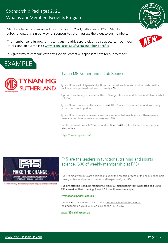## Sponsorship Packages 2021 What is our Members Benefits Program

Members Benefits program will be introduced in 2021, with already 1200+ Member subscriptions, this is great way for sponsors to get a message there out to our members.





The member benefits program is sent out monthly separately and also appears, in our news letters, and on our website [www.cronullaseagullsfc.com/member-benefits](http://www.cronullaseagullsfc.com/member-benefits)

It is great way to communicate any specials promotions sponsors have for our members.





## Tynan MG Sutherland | Club Sponsor

Tynan MG is part of Tynan Motor Group, a multi-franchise automotive dealer with a dedicated and professional staff of nearly 400.

A proud local family business in The St George, Illawarra and Sutherland Shire started in 1966

Tynan MG are conveniently located at 642 Old Princes Hwy in Sutherland, with easy access and ample parking.

Tynan MG continues to deliver stand out cars at unbelievable prices. There's never been a better time to meet your very own MG.

Call the team at Tynan MY Sutherland on 8545 8640 or click the link below for your latest offers

https://tynanmg.com.au/



\$30 off weekly memberships for Seagulls family and friends

## F45 are the leaders in functional training and sports science. (\$30 of weekly membership at F45)

F45 Training workouts are designed to unify the muscle groups of the body and to help make you feel and perform better in all aspects of your life.

F45 are offering Seagulls Members, Family & Friends their first week free and up to \$30 a week of their training. (on 6 & 12 month memberships.)

### **Promotional Code: Seagulls**

Contact F45 now on 0415 522 700 or Cronulla@f45training.com.au leading team on 9523 4333 or click on the link below.

#### www.f45training.com.au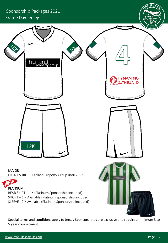

Special terms and conditions apply to Jersey Sponsors, they are exclusive and require a minimum 3 to 5 year commitment.